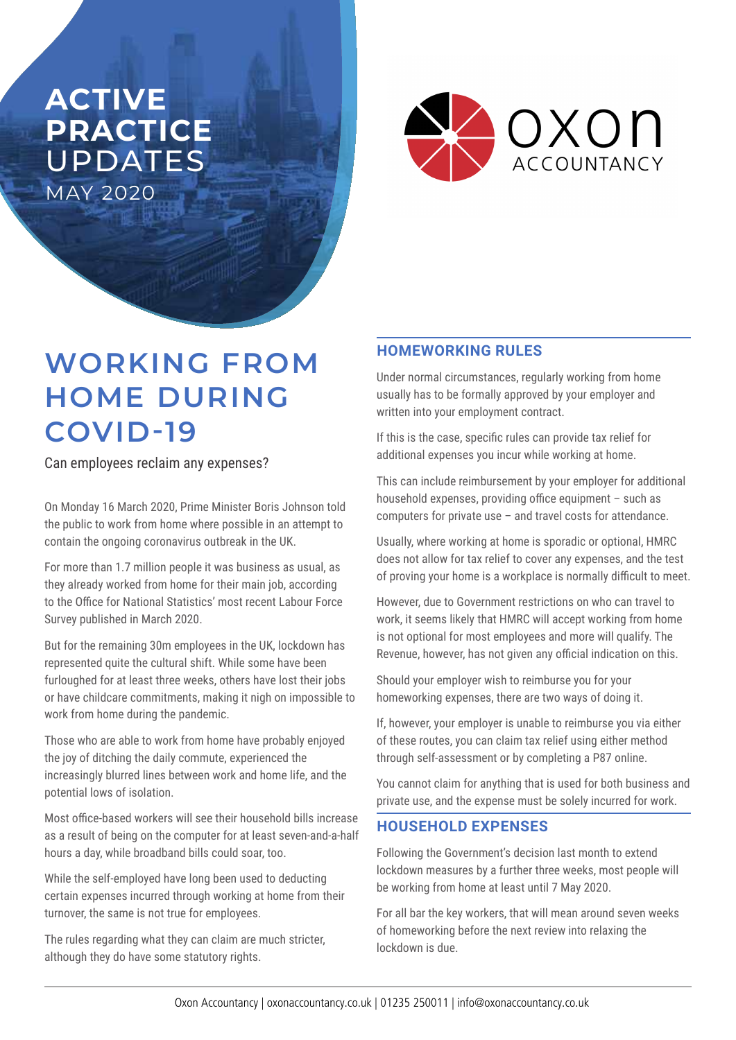## **ACTIVE PRACTICE**  UPDATES MAY 2020



# **WORKING FROM HOME DURING COVID-19**

Can employees reclaim any expenses?

On Monday 16 March 2020, Prime Minister Boris Johnson told the public to work from home where possible in an attempt to contain the ongoing coronavirus outbreak in the UK.

For more than 1.7 million people it was business as usual, as they already worked from home for their main job, according to the Office for National Statistics' most recent Labour Force Survey published in March 2020.

But for the remaining 30m employees in the UK, lockdown has represented quite the cultural shift. While some have been furloughed for at least three weeks, others have lost their jobs or have childcare commitments, making it nigh on impossible to work from home during the pandemic.

Those who are able to work from home have probably enjoyed the joy of ditching the daily commute, experienced the increasingly blurred lines between work and home life, and the potential lows of isolation.

Most office-based workers will see their household bills increase as a result of being on the computer for at least seven-and-a-half hours a day, while broadband bills could soar, too.

While the self-employed have long been used to deducting certain expenses incurred through working at home from their turnover, the same is not true for employees.

The rules regarding what they can claim are much stricter, although they do have some statutory rights.

#### **HOMEWORKING RULES**

Under normal circumstances, regularly working from home usually has to be formally approved by your employer and written into your employment contract.

If this is the case, specific rules can provide tax relief for additional expenses you incur while working at home.

This can include reimbursement by your employer for additional household expenses, providing office equipment – such as computers for private use – and travel costs for attendance.

Usually, where working at home is sporadic or optional, HMRC does not allow for tax relief to cover any expenses, and the test of proving your home is a workplace is normally difficult to meet.

However, due to Government restrictions on who can travel to work, it seems likely that HMRC will accept working from home is not optional for most employees and more will qualify. The Revenue, however, has not given any official indication on this.

Should your employer wish to reimburse you for your homeworking expenses, there are two ways of doing it.

If, however, your employer is unable to reimburse you via either of these routes, you can claim tax relief using either method through self-assessment or by completing a P87 online.

You cannot claim for anything that is used for both business and private use, and the expense must be solely incurred for work.

#### **HOUSEHOLD EXPENSES**

Following the Government's decision last month to extend lockdown measures by a further three weeks, most people will be working from home at least until 7 May 2020.

For all bar the key workers, that will mean around seven weeks of homeworking before the next review into relaxing the lockdown is due.